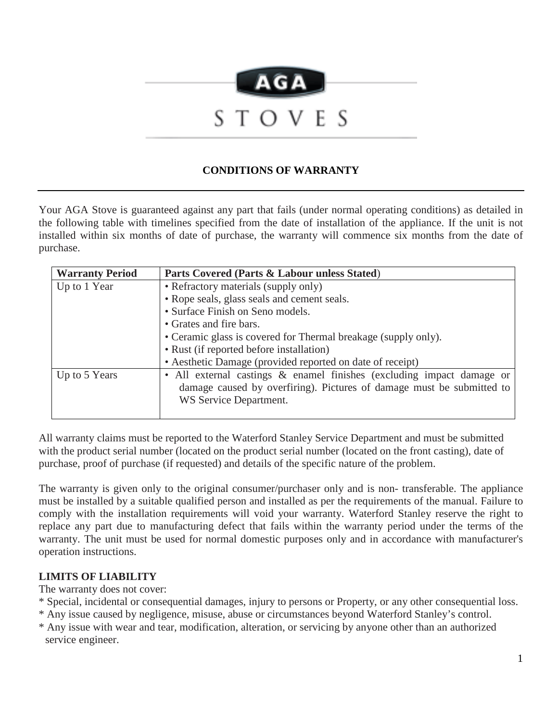

## **CONDITIONS OF WARRANTY**

Your AGA Stove is guaranteed against any part that fails (under normal operating conditions) as detailed in the following table with timelines specified from the date of installation of the appliance. If the unit is not installed within six months of date of purchase, the warranty will commence six months from the date of purchase.

| <b>Warranty Period</b> | Parts Covered (Parts & Labour unless Stated)                          |
|------------------------|-----------------------------------------------------------------------|
| Up to 1 Year           | • Refractory materials (supply only)                                  |
|                        | • Rope seals, glass seals and cement seals.                           |
|                        | • Surface Finish on Seno models.                                      |
|                        | • Grates and fire bars.                                               |
|                        | • Ceramic glass is covered for Thermal breakage (supply only).        |
|                        | • Rust (if reported before installation)                              |
|                        | • Aesthetic Damage (provided reported on date of receipt)             |
| Up to 5 Years          | • All external castings & enamel finishes (excluding impact damage or |
|                        | damage caused by overfiring). Pictures of damage must be submitted to |
|                        | WS Service Department.                                                |
|                        |                                                                       |

All warranty claims must be reported to the Waterford Stanley Service Department and must be submitted with the product serial number (located on the product serial number (located on the front casting), date of purchase, proof of purchase (if requested) and details of the specific nature of the problem.

The warranty is given only to the original consumer/purchaser only and is non- transferable. The appliance must be installed by a suitable qualified person and installed as per the requirements of the manual. Failure to comply with the installation requirements will void your warranty. Waterford Stanley reserve the right to replace any part due to manufacturing defect that fails within the warranty period under the terms of the warranty. The unit must be used for normal domestic purposes only and in accordance with manufacturer's operation instructions.

## **LIMITS OF LIABILITY**

The warranty does not cover:

- \* Special, incidental or consequential damages, injury to persons or Property, or any other consequential loss.
- \* Any issue caused by negligence, misuse, abuse or circumstances beyond Waterford Stanley's control.
- \* Any issue with wear and tear, modification, alteration, or servicing by anyone other than an authorized service engineer.